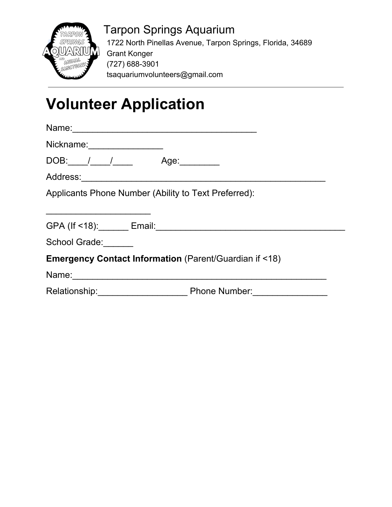

 Tarpon Springs Aquarium 1722 North Pinellas Avenue, Tarpon Springs, Florida, 34689 Grant Konger (727) 688-3901 tsaquariumvolunteers@gmail.com

## **Volunteer Application**

| Nickname: 1980 1991 1992 1994                                                                                  |  |
|----------------------------------------------------------------------------------------------------------------|--|
| DOB: / / / Age:                                                                                                |  |
|                                                                                                                |  |
| Applicants Phone Number (Ability to Text Preferred):                                                           |  |
|                                                                                                                |  |
|                                                                                                                |  |
|                                                                                                                |  |
| School Grade:                                                                                                  |  |
| <b>Emergency Contact Information (Parent/Guardian if &lt;18)</b>                                               |  |
| Name: 2008. 2008. 2009. 2009. 2010. 2010. 2010. 2010. 2010. 2010. 2011. 2012. 2014. 2016. 2016. 2016. 2016. 20 |  |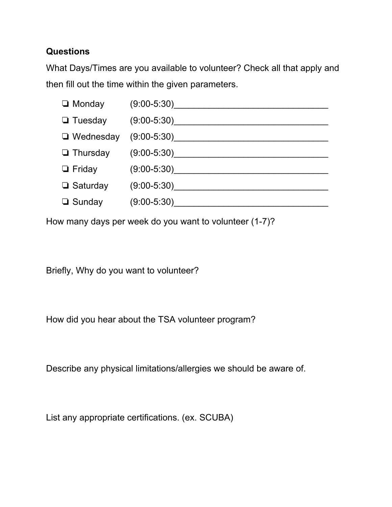## **Questions**

What Days/Times are you available to volunteer? Check all that apply and then fill out the time within the given parameters.

| $\Box$ Monday    | $(9:00-5:30)$ |
|------------------|---------------|
| $\Box$ Tuesday   | $(9:00-5:30)$ |
| $\Box$ Wednesday | $(9:00-5:30)$ |
| $\Box$ Thursday  | $(9:00-5:30)$ |
| $\Box$ Friday    | $(9:00-5:30)$ |
| $\Box$ Saturday  | $(9:00-5:30)$ |
| $\Box$ Sunday    | $(9:00-5:30)$ |

How many days per week do you want to volunteer (1-7)?

Briefly, Why do you want to volunteer?

How did you hear about the TSA volunteer program?

Describe any physical limitations/allergies we should be aware of.

List any appropriate certifications. (ex. SCUBA)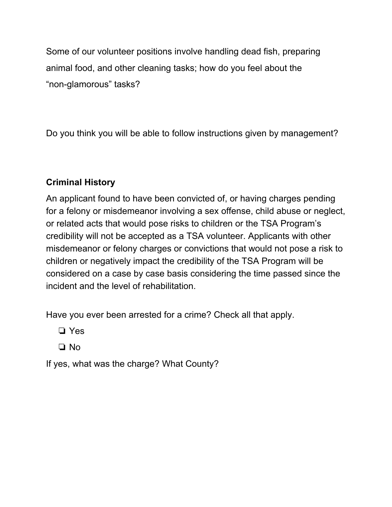Some of our volunteer positions involve handling dead fish, preparing animal food, and other cleaning tasks; how do you feel about the "non-glamorous" tasks?

Do you think you will be able to follow instructions given by management?

## **Criminal History**

An applicant found to have been convicted of, or having charges pending for a felony or misdemeanor involving a sex offense, child abuse or neglect, or related acts that would pose risks to children or the TSA Program's credibility will not be accepted as a TSA volunteer. Applicants with other misdemeanor or felony charges or convictions that would not pose a risk to children or negatively impact the credibility of the TSA Program will be considered on a case by case basis considering the time passed since the incident and the level of rehabilitation.

Have you ever been arrested for a crime? Check all that apply.

❏ Yes

❏ No

If yes, what was the charge? What County?